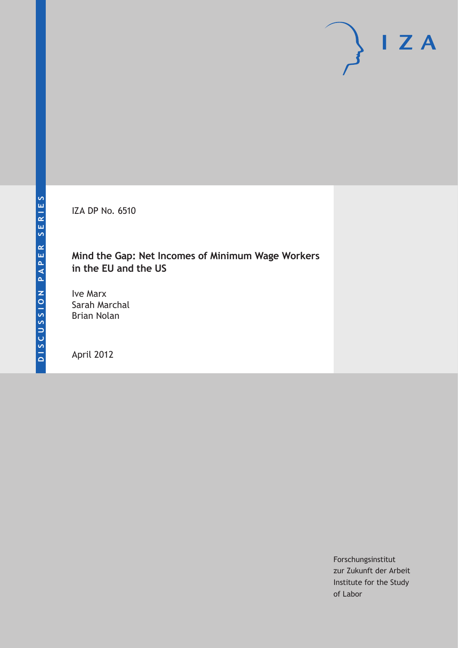IZA DP No. 6510

# **Mind the Gap: Net Incomes of Minimum Wage Workers in the EU and the US**

Ive Marx Sarah Marchal Brian Nolan

April 2012

Forschungsinstitut zur Zukunft der Arbeit Institute for the Study of Labor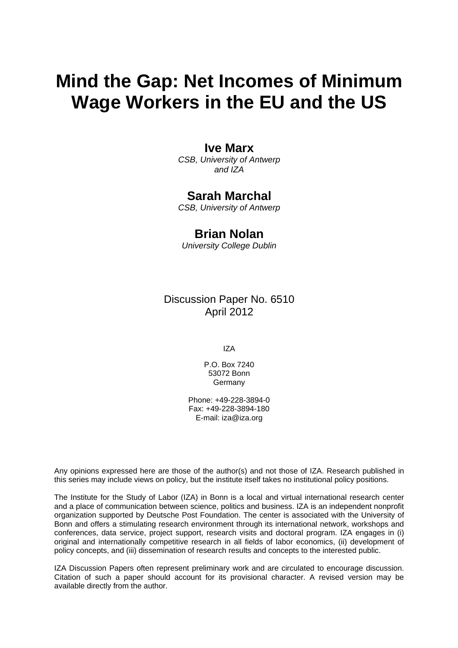# **Mind the Gap: Net Incomes of Minimum Wage Workers in the EU and the US**

# **Ive Marx**

*CSB, University of Antwerp and IZA* 

# **Sarah Marchal**

*CSB, University of Antwerp* 

# **Brian Nolan**

*University College Dublin* 

Discussion Paper No. 6510 April 2012

IZA

P.O. Box 7240 53072 Bonn **Germany** 

Phone: +49-228-3894-0 Fax: +49-228-3894-180 E-mail: [iza@iza.org](mailto:iza@iza.org)

Any opinions expressed here are those of the author(s) and not those of IZA. Research published in this series may include views on policy, but the institute itself takes no institutional policy positions.

The Institute for the Study of Labor (IZA) in Bonn is a local and virtual international research center and a place of communication between science, politics and business. IZA is an independent nonprofit organization supported by Deutsche Post Foundation. The center is associated with the University of Bonn and offers a stimulating research environment through its international network, workshops and conferences, data service, project support, research visits and doctoral program. IZA engages in (i) original and internationally competitive research in all fields of labor economics, (ii) development of policy concepts, and (iii) dissemination of research results and concepts to the interested public.

IZA Discussion Papers often represent preliminary work and are circulated to encourage discussion. Citation of such a paper should account for its provisional character. A revised version may be available directly from the author.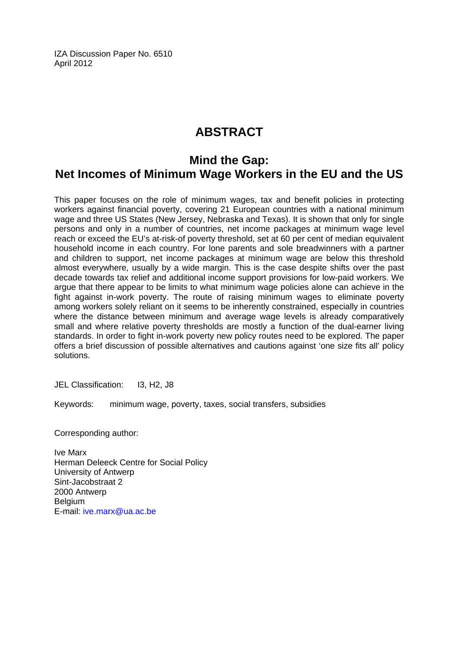IZA Discussion Paper No. 6510 April 2012

# **ABSTRACT**

# **Mind the Gap: Net Incomes of Minimum Wage Workers in the EU and the US**

This paper focuses on the role of minimum wages, tax and benefit policies in protecting workers against financial poverty, covering 21 European countries with a national minimum wage and three US States (New Jersey, Nebraska and Texas). It is shown that only for single persons and only in a number of countries, net income packages at minimum wage level reach or exceed the EU's at-risk-of poverty threshold, set at 60 per cent of median equivalent household income in each country. For lone parents and sole breadwinners with a partner and children to support, net income packages at minimum wage are below this threshold almost everywhere, usually by a wide margin. This is the case despite shifts over the past decade towards tax relief and additional income support provisions for low-paid workers. We argue that there appear to be limits to what minimum wage policies alone can achieve in the fight against in-work poverty. The route of raising minimum wages to eliminate poverty among workers solely reliant on it seems to be inherently constrained, especially in countries where the distance between minimum and average wage levels is already comparatively small and where relative poverty thresholds are mostly a function of the dual-earner living standards. In order to fight in-work poverty new policy routes need to be explored. The paper offers a brief discussion of possible alternatives and cautions against 'one size fits all' policy solutions.

JEL Classification: I3, H2, J8

Keywords: minimum wage, poverty, taxes, social transfers, subsidies

Corresponding author:

Ive Marx Herman Deleeck Centre for Social Policy University of Antwerp Sint-Jacobstraat 2 2000 Antwerp Belgium E-mail: [ive.marx@ua.ac.be](mailto:ive.marx@ua.ac.be)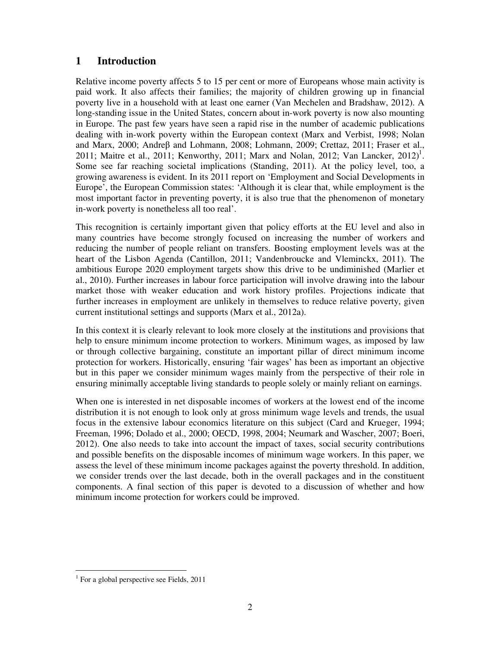## **1 Introduction**

Relative income poverty affects 5 to 15 per cent or more of Europeans whose main activity is paid work. It also affects their families; the majority of children growing up in financial poverty live in a household with at least one earner (Van Mechelen and Bradshaw, 2012). A long-standing issue in the United States, concern about in-work poverty is now also mounting in Europe. The past few years have seen a rapid rise in the number of academic publications dealing with in-work poverty within the European context (Marx and Verbist, 1998; Nolan and Marx, 2000; Andreβ and Lohmann, 2008; Lohmann, 2009; Crettaz, 2011; Fraser et al., 2011; Maitre et al., 2011; Kenworthy, 2011; Marx and Nolan, 2012; Van Lancker, 2012)<sup>1</sup>. Some see far reaching societal implications (Standing, 2011). At the policy level, too, a growing awareness is evident. In its 2011 report on 'Employment and Social Developments in Europe', the European Commission states: 'Although it is clear that, while employment is the most important factor in preventing poverty, it is also true that the phenomenon of monetary in-work poverty is nonetheless all too real'.

This recognition is certainly important given that policy efforts at the EU level and also in many countries have become strongly focused on increasing the number of workers and reducing the number of people reliant on transfers. Boosting employment levels was at the heart of the Lisbon Agenda (Cantillon, 2011; Vandenbroucke and Vleminckx, 2011). The ambitious Europe 2020 employment targets show this drive to be undiminished (Marlier et al., 2010). Further increases in labour force participation will involve drawing into the labour market those with weaker education and work history profiles. Projections indicate that further increases in employment are unlikely in themselves to reduce relative poverty, given current institutional settings and supports (Marx et al., 2012a).

In this context it is clearly relevant to look more closely at the institutions and provisions that help to ensure minimum income protection to workers. Minimum wages, as imposed by law or through collective bargaining, constitute an important pillar of direct minimum income protection for workers. Historically, ensuring 'fair wages' has been as important an objective but in this paper we consider minimum wages mainly from the perspective of their role in ensuring minimally acceptable living standards to people solely or mainly reliant on earnings.

When one is interested in net disposable incomes of workers at the lowest end of the income distribution it is not enough to look only at gross minimum wage levels and trends, the usual focus in the extensive labour economics literature on this subject (Card and Krueger, 1994; Freeman, 1996; Dolado et al., 2000; OECD, 1998, 2004; Neumark and Wascher, 2007; Boeri, 2012). One also needs to take into account the impact of taxes, social security contributions and possible benefits on the disposable incomes of minimum wage workers. In this paper, we assess the level of these minimum income packages against the poverty threshold. In addition, we consider trends over the last decade, both in the overall packages and in the constituent components. A final section of this paper is devoted to a discussion of whether and how minimum income protection for workers could be improved.

 $\ddot{\phantom{a}}$ <sup>1</sup> For a global perspective see Fields, 2011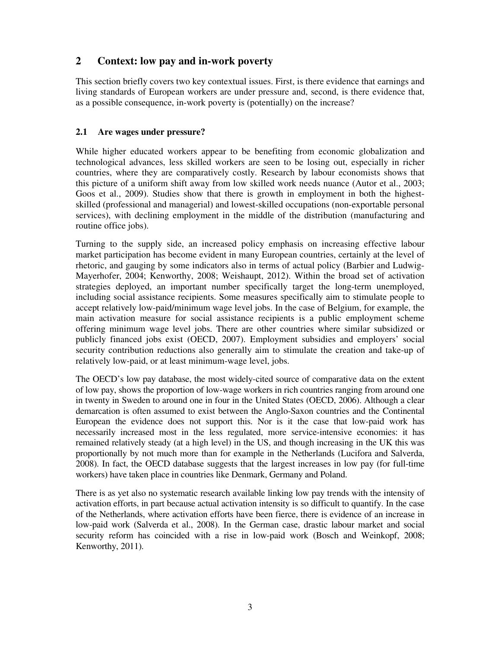# **2 Context: low pay and in-work poverty**

This section briefly covers two key contextual issues. First, is there evidence that earnings and living standards of European workers are under pressure and, second, is there evidence that, as a possible consequence, in-work poverty is (potentially) on the increase?

#### **2.1 Are wages under pressure?**

While higher educated workers appear to be benefiting from economic globalization and technological advances, less skilled workers are seen to be losing out, especially in richer countries, where they are comparatively costly. Research by labour economists shows that this picture of a uniform shift away from low skilled work needs nuance (Autor et al., 2003; Goos et al., 2009). Studies show that there is growth in employment in both the highestskilled (professional and managerial) and lowest-skilled occupations (non-exportable personal services), with declining employment in the middle of the distribution (manufacturing and routine office jobs).

Turning to the supply side, an increased policy emphasis on increasing effective labour market participation has become evident in many European countries, certainly at the level of rhetoric, and gauging by some indicators also in terms of actual policy (Barbier and Ludwig-Mayerhofer, 2004; Kenworthy, 2008; Weishaupt, 2012). Within the broad set of activation strategies deployed, an important number specifically target the long-term unemployed, including social assistance recipients. Some measures specifically aim to stimulate people to accept relatively low-paid/minimum wage level jobs. In the case of Belgium, for example, the main activation measure for social assistance recipients is a public employment scheme offering minimum wage level jobs. There are other countries where similar subsidized or publicly financed jobs exist (OECD, 2007). Employment subsidies and employers' social security contribution reductions also generally aim to stimulate the creation and take-up of relatively low-paid, or at least minimum-wage level, jobs.

The OECD's low pay database, the most widely-cited source of comparative data on the extent of low pay, shows the proportion of low-wage workers in rich countries ranging from around one in twenty in Sweden to around one in four in the United States (OECD, 2006). Although a clear demarcation is often assumed to exist between the Anglo-Saxon countries and the Continental European the evidence does not support this. Nor is it the case that low-paid work has necessarily increased most in the less regulated, more service-intensive economies: it has remained relatively steady (at a high level) in the US, and though increasing in the UK this was proportionally by not much more than for example in the Netherlands (Lucifora and Salverda, 2008). In fact, the OECD database suggests that the largest increases in low pay (for full-time workers) have taken place in countries like Denmark, Germany and Poland.

There is as yet also no systematic research available linking low pay trends with the intensity of activation efforts, in part because actual activation intensity is so difficult to quantify. In the case of the Netherlands, where activation efforts have been fierce, there is evidence of an increase in low-paid work (Salverda et al., 2008). In the German case, drastic labour market and social security reform has coincided with a rise in low-paid work (Bosch and Weinkopf, 2008; Kenworthy, 2011).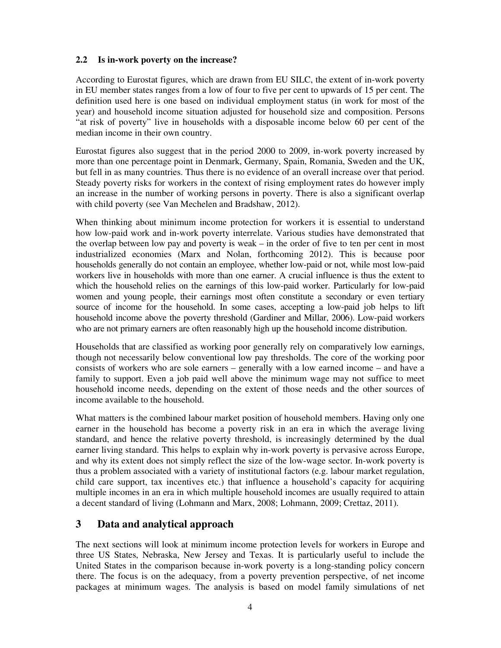#### **2.2 Is in-work poverty on the increase?**

According to Eurostat figures, which are drawn from EU SILC, the extent of in-work poverty in EU member states ranges from a low of four to five per cent to upwards of 15 per cent. The definition used here is one based on individual employment status (in work for most of the year) and household income situation adjusted for household size and composition. Persons "at risk of poverty" live in households with a disposable income below 60 per cent of the median income in their own country.

Eurostat figures also suggest that in the period 2000 to 2009, in-work poverty increased by more than one percentage point in Denmark, Germany, Spain, Romania, Sweden and the UK, but fell in as many countries. Thus there is no evidence of an overall increase over that period. Steady poverty risks for workers in the context of rising employment rates do however imply an increase in the number of working persons in poverty. There is also a significant overlap with child poverty (see Van Mechelen and Bradshaw, 2012).

When thinking about minimum income protection for workers it is essential to understand how low-paid work and in-work poverty interrelate. Various studies have demonstrated that the overlap between low pay and poverty is weak – in the order of five to ten per cent in most industrialized economies (Marx and Nolan, forthcoming 2012). This is because poor households generally do not contain an employee, whether low-paid or not, while most low-paid workers live in households with more than one earner. A crucial influence is thus the extent to which the household relies on the earnings of this low-paid worker. Particularly for low-paid women and young people, their earnings most often constitute a secondary or even tertiary source of income for the household. In some cases, accepting a low-paid job helps to lift household income above the poverty threshold (Gardiner and Millar, 2006). Low-paid workers who are not primary earners are often reasonably high up the household income distribution.

Households that are classified as working poor generally rely on comparatively low earnings, though not necessarily below conventional low pay thresholds. The core of the working poor consists of workers who are sole earners – generally with a low earned income – and have a family to support. Even a job paid well above the minimum wage may not suffice to meet household income needs, depending on the extent of those needs and the other sources of income available to the household.

What matters is the combined labour market position of household members. Having only one earner in the household has become a poverty risk in an era in which the average living standard, and hence the relative poverty threshold, is increasingly determined by the dual earner living standard. This helps to explain why in-work poverty is pervasive across Europe, and why its extent does not simply reflect the size of the low-wage sector. In-work poverty is thus a problem associated with a variety of institutional factors (e.g. labour market regulation, child care support, tax incentives etc.) that influence a household's capacity for acquiring multiple incomes in an era in which multiple household incomes are usually required to attain a decent standard of living (Lohmann and Marx, 2008; Lohmann, 2009; Crettaz, 2011).

## **3 Data and analytical approach**

The next sections will look at minimum income protection levels for workers in Europe and three US States, Nebraska, New Jersey and Texas. It is particularly useful to include the United States in the comparison because in-work poverty is a long-standing policy concern there. The focus is on the adequacy, from a poverty prevention perspective, of net income packages at minimum wages. The analysis is based on model family simulations of net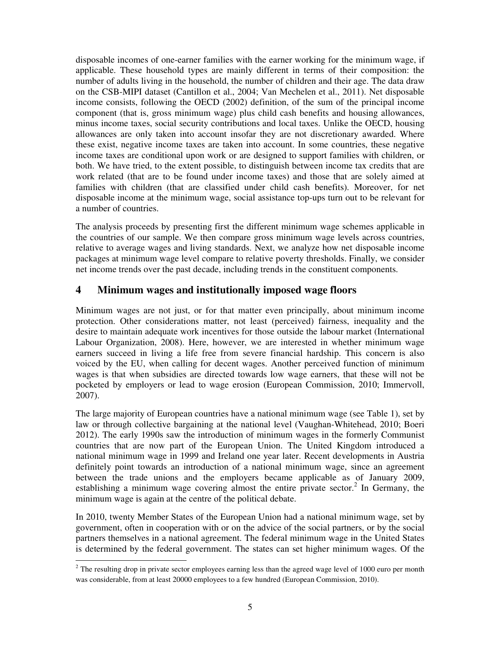disposable incomes of one-earner families with the earner working for the minimum wage, if applicable. These household types are mainly different in terms of their composition: the number of adults living in the household, the number of children and their age. The data draw on the CSB-MIPI dataset (Cantillon et al., 2004; Van Mechelen et al., 2011). Net disposable income consists, following the OECD (2002) definition, of the sum of the principal income component (that is, gross minimum wage) plus child cash benefits and housing allowances, minus income taxes, social security contributions and local taxes. Unlike the OECD, housing allowances are only taken into account insofar they are not discretionary awarded. Where these exist, negative income taxes are taken into account. In some countries, these negative income taxes are conditional upon work or are designed to support families with children, or both. We have tried, to the extent possible, to distinguish between income tax credits that are work related (that are to be found under income taxes) and those that are solely aimed at families with children (that are classified under child cash benefits). Moreover, for net disposable income at the minimum wage, social assistance top-ups turn out to be relevant for a number of countries.

The analysis proceeds by presenting first the different minimum wage schemes applicable in the countries of our sample. We then compare gross minimum wage levels across countries, relative to average wages and living standards. Next, we analyze how net disposable income packages at minimum wage level compare to relative poverty thresholds. Finally, we consider net income trends over the past decade, including trends in the constituent components.

## **4 Minimum wages and institutionally imposed wage floors**

Minimum wages are not just, or for that matter even principally, about minimum income protection. Other considerations matter, not least (perceived) fairness, inequality and the desire to maintain adequate work incentives for those outside the labour market (International Labour Organization, 2008). Here, however, we are interested in whether minimum wage earners succeed in living a life free from severe financial hardship. This concern is also voiced by the EU, when calling for decent wages. Another perceived function of minimum wages is that when subsidies are directed towards low wage earners, that these will not be pocketed by employers or lead to wage erosion (European Commission, 2010; Immervoll, 2007).

The large majority of European countries have a national minimum wage (see Table 1), set by law or through collective bargaining at the national level (Vaughan-Whitehead, 2010; Boeri 2012). The early 1990s saw the introduction of minimum wages in the formerly Communist countries that are now part of the European Union. The United Kingdom introduced a national minimum wage in 1999 and Ireland one year later. Recent developments in Austria definitely point towards an introduction of a national minimum wage, since an agreement between the trade unions and the employers became applicable as of January 2009, establishing a minimum wage covering almost the entire private sector.<sup>2</sup> In Germany, the minimum wage is again at the centre of the political debate.

In 2010, twenty Member States of the European Union had a national minimum wage, set by government, often in cooperation with or on the advice of the social partners, or by the social partners themselves in a national agreement. The federal minimum wage in the United States is determined by the federal government. The states can set higher minimum wages. Of the

 $\ddot{\phantom{a}}$ 

 $2^{2}$  The resulting drop in private sector employees earning less than the agreed wage level of 1000 euro per month was considerable, from at least 20000 employees to a few hundred (European Commission, 2010).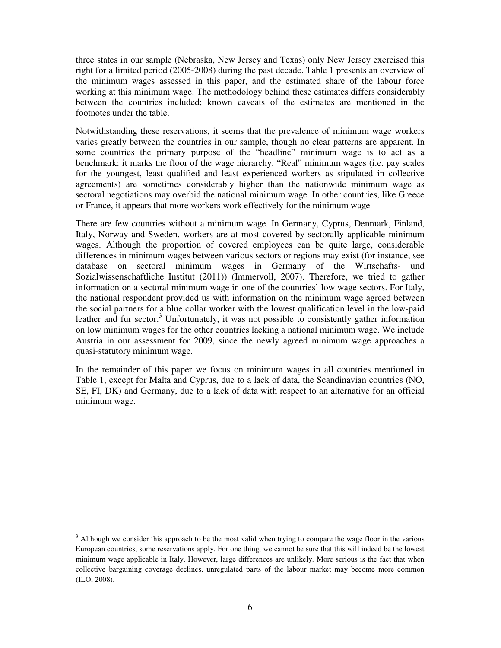three states in our sample (Nebraska, New Jersey and Texas) only New Jersey exercised this right for a limited period (2005-2008) during the past decade. Table 1 presents an overview of the minimum wages assessed in this paper, and the estimated share of the labour force working at this minimum wage. The methodology behind these estimates differs considerably between the countries included; known caveats of the estimates are mentioned in the footnotes under the table.

Notwithstanding these reservations, it seems that the prevalence of minimum wage workers varies greatly between the countries in our sample, though no clear patterns are apparent. In some countries the primary purpose of the "headline" minimum wage is to act as a benchmark: it marks the floor of the wage hierarchy. "Real" minimum wages (i.e. pay scales for the youngest, least qualified and least experienced workers as stipulated in collective agreements) are sometimes considerably higher than the nationwide minimum wage as sectoral negotiations may overbid the national minimum wage. In other countries, like Greece or France, it appears that more workers work effectively for the minimum wage

There are few countries without a minimum wage. In Germany, Cyprus, Denmark, Finland, Italy, Norway and Sweden, workers are at most covered by sectorally applicable minimum wages. Although the proportion of covered employees can be quite large, considerable differences in minimum wages between various sectors or regions may exist (for instance, see database on sectoral minimum wages in Germany of the Wirtschafts- und Sozialwissenschaftliche Institut (2011)) (Immervoll, 2007). Therefore, we tried to gather information on a sectoral minimum wage in one of the countries' low wage sectors. For Italy, the national respondent provided us with information on the minimum wage agreed between the social partners for a blue collar worker with the lowest qualification level in the low-paid leather and fur sector.<sup>3</sup> Unfortunately, it was not possible to consistently gather information on low minimum wages for the other countries lacking a national minimum wage. We include Austria in our assessment for 2009, since the newly agreed minimum wage approaches a quasi-statutory minimum wage.

In the remainder of this paper we focus on minimum wages in all countries mentioned in Table 1, except for Malta and Cyprus, due to a lack of data, the Scandinavian countries (NO, SE, FI, DK) and Germany, due to a lack of data with respect to an alternative for an official minimum wage.

<sup>&</sup>lt;sup>3</sup> Although we consider this approach to be the most valid when trying to compare the wage floor in the various European countries, some reservations apply. For one thing, we cannot be sure that this will indeed be the lowest minimum wage applicable in Italy. However, large differences are unlikely. More serious is the fact that when collective bargaining coverage declines, unregulated parts of the labour market may become more common (ILO, 2008).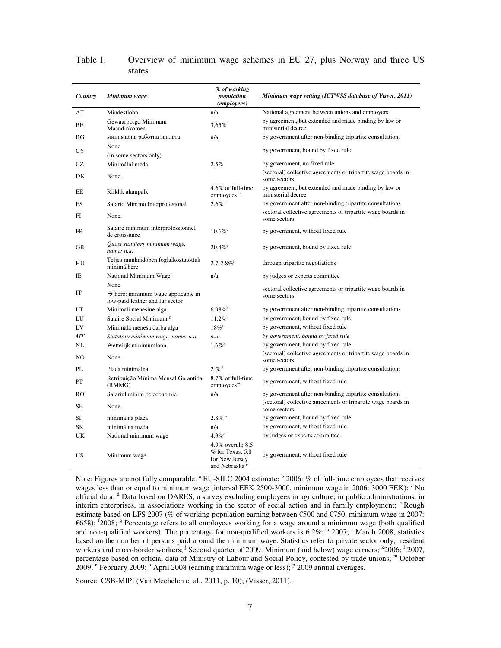| Country   | Minimum wage                                                                      | % of working<br>population<br><i>(employees)</i>                                       | Minimum wage setting (ICTWSS database of Visser, 2011)                        |
|-----------|-----------------------------------------------------------------------------------|----------------------------------------------------------------------------------------|-------------------------------------------------------------------------------|
| AT        | Mindestlohn                                                                       | n/a                                                                                    | National agreement between unions and employers                               |
| BE        | Gewaarborgd Minimum<br>Maandinkomen                                               | $3,65\%$ <sup>a</sup>                                                                  | by agreement, but extended and made binding by law or<br>ministerial decree   |
| BG        | минимална работна заплата                                                         | n/a                                                                                    | by government after non-binding tripartite consultations                      |
| <b>CY</b> | None                                                                              |                                                                                        | by government, bound by fixed rule                                            |
| CZ.       | (in some sectors only)<br>Minimální mzda                                          | 2.5%                                                                                   | by government, no fixed rule                                                  |
|           |                                                                                   |                                                                                        | (sectoral) collective agreements or tripartite wage boards in                 |
| DK        | None.                                                                             |                                                                                        | some sectors                                                                  |
| EE.       | Riiklik alampalk                                                                  | 4.6% of full-time<br>employees <sup>b</sup>                                            | by agreement, but extended and made binding by law or<br>ministerial decree   |
| ES        | Salario Mínimo Interprofesional                                                   | $2.6\%$                                                                                | by government after non-binding tripartite consultations                      |
| FI        | None.                                                                             |                                                                                        | sectoral collective agreements of tripartite wage boards in<br>some sectors   |
| <b>FR</b> | Salaire minimum interprofessionnel<br>de croissance                               | $10.6\%$ <sup>d</sup>                                                                  | by government, without fixed rule                                             |
| GR.       | Quasi statutory minimum wage,<br>name: n.a.                                       | $20.4\%$ <sup>e</sup>                                                                  | by government, bound by fixed rule                                            |
| HU        | Teljes munkaidõben foglalkoztatottak<br>minimálbére                               | $2.7 - 2.8\%$ <sup>f</sup>                                                             | through tripartite negotiations                                               |
| IE.       | National Minimum Wage                                                             | n/a                                                                                    | by judges or experts committee                                                |
|           | None                                                                              |                                                                                        | sectoral collective agreements or tripartite wage boards in                   |
| IT        | $\rightarrow$ here: minimum wage applicable in<br>low-paid leather and fur sector |                                                                                        | some sectors                                                                  |
| LT        | Minimali mënesinë alga                                                            | 6.98% <sup>h</sup>                                                                     | by government after non-binding tripartite consultations                      |
| LU        | Salaire Social Minimum <sup>8</sup>                                               | $11.2\%$ <sup>i</sup>                                                                  | by government, bound by fixed rule                                            |
| LV        | Minimālā mēneša darba alga                                                        | $18\%$                                                                                 | by government, without fixed rule                                             |
| МT        | Statutory minimum wage, name: n.a.                                                | n.a.                                                                                   | by government, bound by fixed rule                                            |
| NL        | Wettelijk minimumloon                                                             | $1.6\%$                                                                                | by government, bound by fixed rule                                            |
| NO.       | None.                                                                             |                                                                                        | (sectoral) collective agreements or tripartite wage boards in<br>some sectors |
| PL        | Placa minimalna                                                                   | $2 \%$ <sup>1</sup>                                                                    | by government after non-binding tripartite consultations                      |
| PT        | Retribuição Mínima Mensal Garantida<br>(RMMG)                                     | 8,7% of full-time<br>emploves <sup>m</sup>                                             | by government, without fixed rule                                             |
| RO.       | Salariul minim pe economie                                                        | n/a                                                                                    | by government after non-binding tripartite consultations                      |
| <b>SE</b> | None.                                                                             |                                                                                        | (sectoral) collective agreements or tripartite wage boards in<br>some sectors |
| SI        | minimalna plaèa                                                                   | $2.8\%$ <sup>n</sup>                                                                   | by government, bound by fixed rule                                            |
| SK        | minimálna mzda                                                                    | n/a                                                                                    | by government, without fixed rule                                             |
| UK        | National minimum wage                                                             | $4.3\%$ <sup>o</sup>                                                                   | by judges or experts committee                                                |
| US        | Minimum wage                                                                      | 4.9% overall; 8.5<br>$%$ for Texas; 5.8<br>for New Jersey<br>and Nebraska <sup>P</sup> | by government, without fixed rule                                             |

#### Table 1. Overview of minimum wage schemes in EU 27, plus Norway and three US states

Note: Figures are not fully comparable. <sup>a</sup> EU-SILC 2004 estimate; <sup>b</sup> 2006: % of full-time employees that receives wages less than or equal to minimum wage (interval EEK 2500-3000, minimum wage in 2006: 3000 EEK); <sup>c</sup> No official data; <sup>d</sup> Data based on DARES, a survey excluding employees in agriculture, in public administrations, in interim enterprises, in associations working in the sector of social action and in family employment; <sup>e</sup>Rough estimate based on LFS 2007 (% of working population earning between  $\epsilon$ 500 and  $\epsilon$ 750, minimum wage in 2007: €658); <sup>f</sup>2008; <sup>g</sup> Percentage refers to all employees working for a wage around a minimum wage (both qualified and non-qualified workers). The percentage for non-qualified workers is 6.2%; <sup>h</sup> 2007; <sup>i</sup> March 2008, statistics based on the number of persons paid around the minimum wage. Statistics refer to private sector only, resident workers and cross-border workers; <sup>j</sup> Second quarter of 2009. Minimum (and below) wage earners; <sup>k</sup>2006; <sup>1</sup> 2007, percentage based on official data of Ministry of Labour and Social Policy, contested by trade unions; <sup>m</sup> October 2009;  $n$  February 2009;  $\degree$  April 2008 (earning minimum wage or less);  $p$  2009 annual averages.

Source: CSB-MIPI (Van Mechelen et al., 2011, p. 10); (Visser, 2011).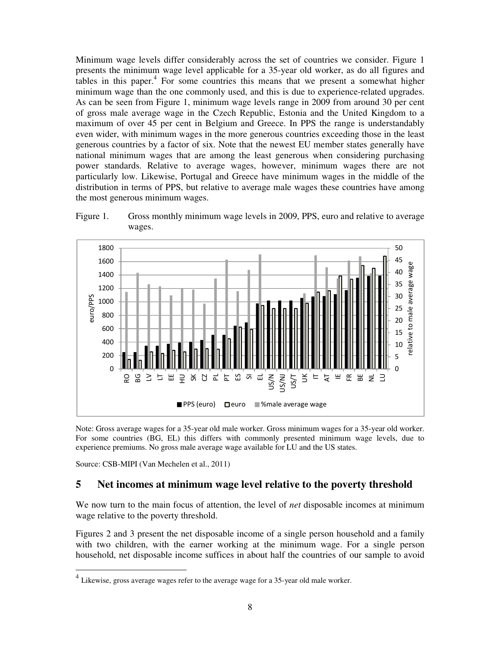Minimum wage levels differ considerably across the set of countries we consider. Figure 1 presents the minimum wage level applicable for a 35-year old worker, as do all figures and tables in this paper. $4$  For some countries this means that we present a somewhat higher minimum wage than the one commonly used, and this is due to experience-related upgrades. As can be seen from Figure 1, minimum wage levels range in 2009 from around 30 per cent of gross male average wage in the Czech Republic, Estonia and the United Kingdom to a maximum of over 45 per cent in Belgium and Greece. In PPS the range is understandably even wider, with minimum wages in the more generous countries exceeding those in the least generous countries by a factor of six. Note that the newest EU member states generally have national minimum wages that are among the least generous when considering purchasing power standards. Relative to average wages, however, minimum wages there are not particularly low. Likewise, Portugal and Greece have minimum wages in the middle of the distribution in terms of PPS, but relative to average male wages these countries have among the most generous minimum wages.



Figure 1. Gross monthly minimum wage levels in 2009, PPS, euro and relative to average wages.

Note: Gross average wages for a 35-year old male worker. Gross minimum wages for a 35-year old worker. For some countries (BG, EL) this differs with commonly presented minimum wage levels, due to experience premiums. No gross male average wage available for LU and the US states.

Source: CSB-MIPI (Van Mechelen et al., 2011)

 $\ddot{\phantom{a}}$ 

#### **5 Net incomes at minimum wage level relative to the poverty threshold**

We now turn to the main focus of attention, the level of *net* disposable incomes at minimum wage relative to the poverty threshold.

Figures 2 and 3 present the net disposable income of a single person household and a family with two children, with the earner working at the minimum wage. For a single person household, net disposable income suffices in about half the countries of our sample to avoid

 $4$  Likewise, gross average wages refer to the average wage for a 35-year old male worker.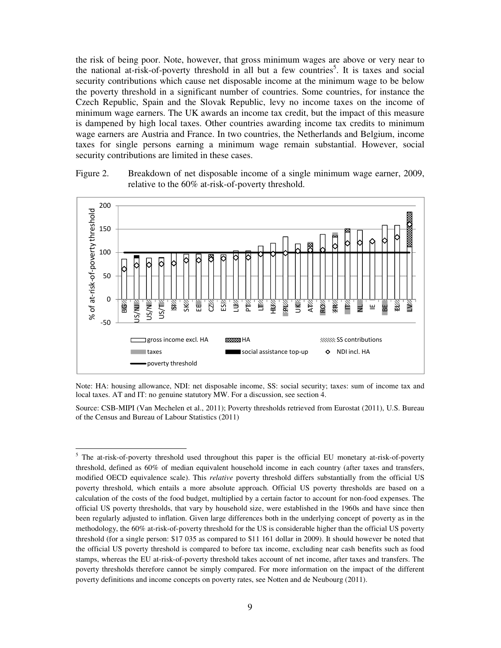the risk of being poor. Note, however, that gross minimum wages are above or very near to the national at-risk-of-poverty threshold in all but a few countries<sup>5</sup>. It is taxes and social security contributions which cause net disposable income at the minimum wage to be below the poverty threshold in a significant number of countries. Some countries, for instance the Czech Republic, Spain and the Slovak Republic, levy no income taxes on the income of minimum wage earners. The UK awards an income tax credit, but the impact of this measure is dampened by high local taxes. Other countries awarding income tax credits to minimum wage earners are Austria and France. In two countries, the Netherlands and Belgium, income taxes for single persons earning a minimum wage remain substantial. However, social security contributions are limited in these cases.





Note: HA: housing allowance, NDI: net disposable income, SS: social security; taxes: sum of income tax and local taxes. AT and IT: no genuine statutory MW. For a discussion, see section 4.

Source: CSB-MIPI (Van Mechelen et al., 2011); Poverty thresholds retrieved from Eurostat (2011), U.S. Bureau of the Census and Bureau of Labour Statistics (2011)

 $\overline{a}$ 

<sup>&</sup>lt;sup>5</sup> The at-risk-of-poverty threshold used throughout this paper is the official EU monetary at-risk-of-poverty threshold, defined as 60% of median equivalent household income in each country (after taxes and transfers, modified OECD equivalence scale). This *relative* poverty threshold differs substantially from the official US poverty threshold, which entails a more absolute approach. Official US poverty thresholds are based on a calculation of the costs of the food budget, multiplied by a certain factor to account for non-food expenses. The official US poverty thresholds, that vary by household size, were established in the 1960s and have since then been regularly adjusted to inflation. Given large differences both in the underlying concept of poverty as in the methodology, the 60% at-risk-of-poverty threshold for the US is considerable higher than the official US poverty threshold (for a single person: \$17 035 as compared to \$11 161 dollar in 2009). It should however be noted that the official US poverty threshold is compared to before tax income, excluding near cash benefits such as food stamps, whereas the EU at-risk-of-poverty threshold takes account of net income, after taxes and transfers. The poverty thresholds therefore cannot be simply compared. For more information on the impact of the different poverty definitions and income concepts on poverty rates, see Notten and de Neubourg (2011).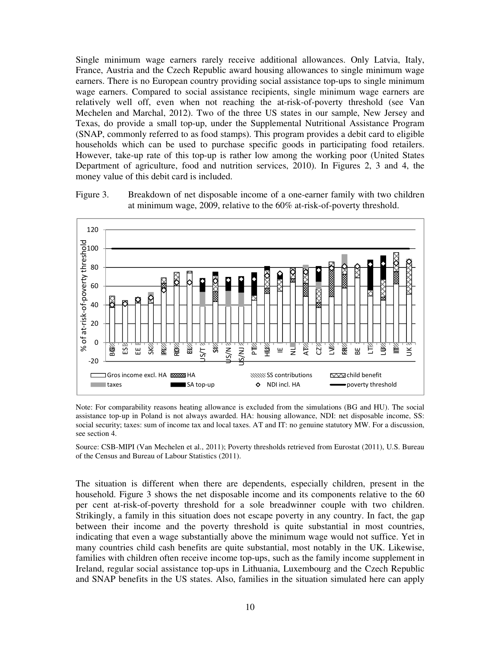Single minimum wage earners rarely receive additional allowances. Only Latvia, Italy, France, Austria and the Czech Republic award housing allowances to single minimum wage earners. There is no European country providing social assistance top-ups to single minimum wage earners. Compared to social assistance recipients, single minimum wage earners are relatively well off, even when not reaching the at-risk-of-poverty threshold (see Van Mechelen and Marchal, 2012). Two of the three US states in our sample, New Jersey and Texas, do provide a small top-up, under the Supplemental Nutritional Assistance Program (SNAP, commonly referred to as food stamps). This program provides a debit card to eligible households which can be used to purchase specific goods in participating food retailers. However, take-up rate of this top-up is rather low among the working poor (United States Department of agriculture, food and nutrition services, 2010). In Figures 2, 3 and 4, the money value of this debit card is included.





Note: For comparability reasons heating allowance is excluded from the simulations (BG and HU). The social assistance top-up in Poland is not always awarded. HA: housing allowance, NDI: net disposable income, SS: social security; taxes: sum of income tax and local taxes. AT and IT: no genuine statutory MW. For a discussion, see section 4.

Source: CSB-MIPI (Van Mechelen et al., 2011); Poverty thresholds retrieved from Eurostat (2011), U.S. Bureau of the Census and Bureau of Labour Statistics (2011).

The situation is different when there are dependents, especially children, present in the household. Figure 3 shows the net disposable income and its components relative to the 60 per cent at-risk-of-poverty threshold for a sole breadwinner couple with two children. Strikingly, a family in this situation does not escape poverty in any country. In fact, the gap between their income and the poverty threshold is quite substantial in most countries, indicating that even a wage substantially above the minimum wage would not suffice. Yet in many countries child cash benefits are quite substantial, most notably in the UK. Likewise, families with children often receive income top-ups, such as the family income supplement in Ireland, regular social assistance top-ups in Lithuania, Luxembourg and the Czech Republic and SNAP benefits in the US states. Also, families in the situation simulated here can apply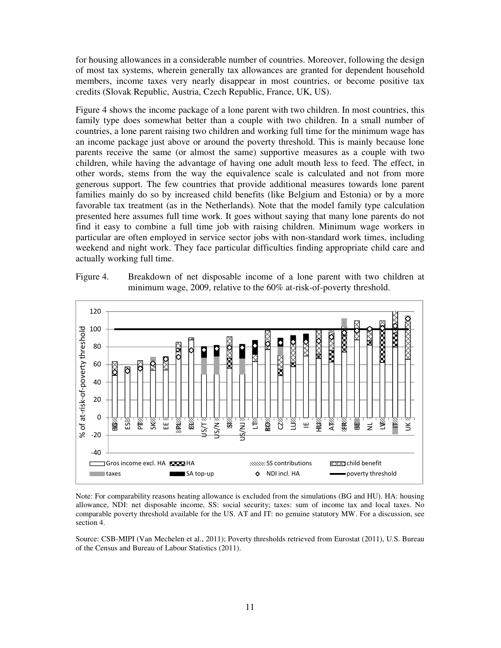for housing allowances in a considerable number of countries. Moreover, following the design of most tax systems, wherein generally tax allowances are granted for dependent household members, income taxes very nearly disappear in most countries, or become positive tax credits (Slovak Republic, Austria, Czech Republic, France, UK, US).

Figure 4 shows the income package of a lone parent with two children. In most countries, this family type does somewhat better than a couple with two children. In a small number of countries, a lone parent raising two children and working full time for the minimum wage has an income package just above or around the poverty threshold. This is mainly because lone parents receive the same (or almost the same) supportive measures as a couple with two children, while having the advantage of having one adult mouth less to feed. The effect, in other words, stems from the way the equivalence scale is calculated and not from more generous support. The few countries that provide additional measures towards lone parent families mainly do so by increased child benefits (like Belgium and Estonia) or by a more favorable tax treatment (as in the Netherlands). Note that the model family type calculation presented here assumes full time work. It goes without saying that many lone parents do not find it easy to combine a full time job with raising children. Minimum wage workers in particular are often employed in service sector jobs with non-standard work times, including weekend and night work. They face particular difficulties finding appropriate child care and actually working full time.





Note: For comparability reasons heating allowance is excluded from the simulations (BG and HU). HA: housing allowance, NDI: net disposable income, SS: social security; taxes: sum of income tax and local taxes. No comparable poverty threshold available for the US. AT and IT: no genuine statutory MW. For a discussion, see section 4.

Source: CSB-MIPI (Van Mechelen et al., 2011); Poverty thresholds retrieved from Eurostat (2011), U.S. Bureau of the Census and Bureau of Labour Statistics (2011).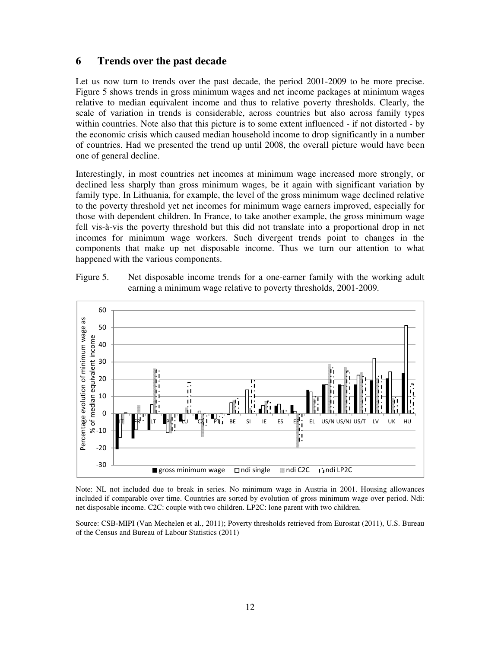#### **6 Trends over the past decade**

Let us now turn to trends over the past decade, the period 2001-2009 to be more precise. Figure 5 shows trends in gross minimum wages and net income packages at minimum wages relative to median equivalent income and thus to relative poverty thresholds. Clearly, the scale of variation in trends is considerable, across countries but also across family types within countries. Note also that this picture is to some extent influenced - if not distorted - by the economic crisis which caused median household income to drop significantly in a number of countries. Had we presented the trend up until 2008, the overall picture would have been one of general decline.

Interestingly, in most countries net incomes at minimum wage increased more strongly, or declined less sharply than gross minimum wages, be it again with significant variation by family type. In Lithuania, for example, the level of the gross minimum wage declined relative to the poverty threshold yet net incomes for minimum wage earners improved, especially for those with dependent children. In France, to take another example, the gross minimum wage fell vis-à-vis the poverty threshold but this did not translate into a proportional drop in net incomes for minimum wage workers. Such divergent trends point to changes in the components that make up net disposable income. Thus we turn our attention to what happened with the various components.





Note: NL not included due to break in series. No minimum wage in Austria in 2001. Housing allowances included if comparable over time. Countries are sorted by evolution of gross minimum wage over period. Ndi: net disposable income. C2C: couple with two children. LP2C: lone parent with two children.

Source: CSB-MIPI (Van Mechelen et al., 2011); Poverty thresholds retrieved from Eurostat (2011), U.S. Bureau of the Census and Bureau of Labour Statistics (2011)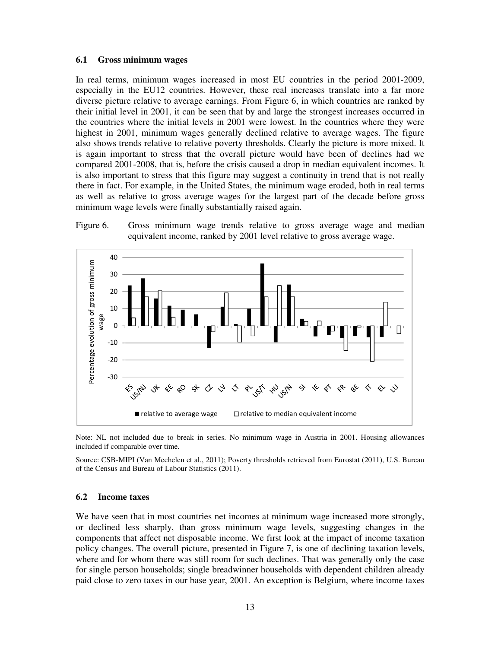#### **6.1 Gross minimum wages**

In real terms, minimum wages increased in most EU countries in the period 2001-2009, especially in the EU12 countries. However, these real increases translate into a far more diverse picture relative to average earnings. From Figure 6, in which countries are ranked by their initial level in 2001, it can be seen that by and large the strongest increases occurred in the countries where the initial levels in 2001 were lowest. In the countries where they were highest in 2001, minimum wages generally declined relative to average wages. The figure also shows trends relative to relative poverty thresholds. Clearly the picture is more mixed. It is again important to stress that the overall picture would have been of declines had we compared 2001-2008, that is, before the crisis caused a drop in median equivalent incomes. It is also important to stress that this figure may suggest a continuity in trend that is not really there in fact. For example, in the United States, the minimum wage eroded, both in real terms as well as relative to gross average wages for the largest part of the decade before gross minimum wage levels were finally substantially raised again.





Note: NL not included due to break in series. No minimum wage in Austria in 2001. Housing allowances included if comparable over time.

Source: CSB-MIPI (Van Mechelen et al., 2011); Poverty thresholds retrieved from Eurostat (2011), U.S. Bureau of the Census and Bureau of Labour Statistics (2011).

#### **6.2 Income taxes**

We have seen that in most countries net incomes at minimum wage increased more strongly, or declined less sharply, than gross minimum wage levels, suggesting changes in the components that affect net disposable income. We first look at the impact of income taxation policy changes. The overall picture, presented in Figure 7, is one of declining taxation levels, where and for whom there was still room for such declines. That was generally only the case for single person households; single breadwinner households with dependent children already paid close to zero taxes in our base year, 2001. An exception is Belgium, where income taxes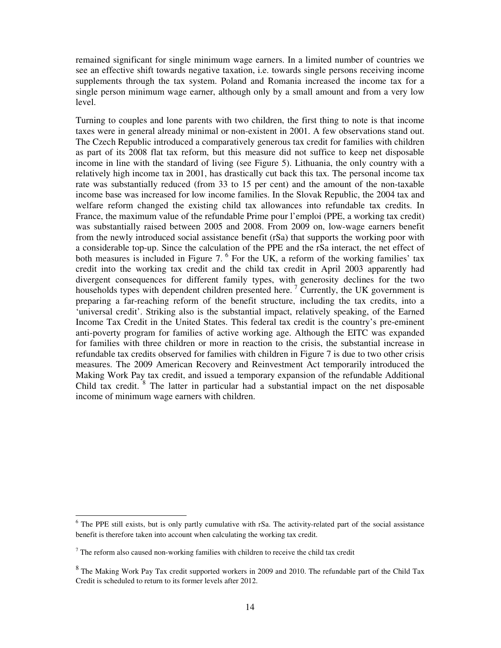remained significant for single minimum wage earners. In a limited number of countries we see an effective shift towards negative taxation, i.e. towards single persons receiving income supplements through the tax system. Poland and Romania increased the income tax for a single person minimum wage earner, although only by a small amount and from a very low level.

Turning to couples and lone parents with two children, the first thing to note is that income taxes were in general already minimal or non-existent in 2001. A few observations stand out. The Czech Republic introduced a comparatively generous tax credit for families with children as part of its 2008 flat tax reform, but this measure did not suffice to keep net disposable income in line with the standard of living (see Figure 5). Lithuania, the only country with a relatively high income tax in 2001, has drastically cut back this tax. The personal income tax rate was substantially reduced (from 33 to 15 per cent) and the amount of the non-taxable income base was increased for low income families. In the Slovak Republic, the 2004 tax and welfare reform changed the existing child tax allowances into refundable tax credits. In France, the maximum value of the refundable Prime pour l'emploi (PPE, a working tax credit) was substantially raised between 2005 and 2008. From 2009 on, low-wage earners benefit from the newly introduced social assistance benefit (rSa) that supports the working poor with a considerable top-up. Since the calculation of the PPE and the rSa interact, the net effect of both measures is included in Figure 7.<sup>6</sup> For the UK, a reform of the working families' tax credit into the working tax credit and the child tax credit in April 2003 apparently had divergent consequences for different family types, with generosity declines for the two households types with dependent children presented here.<sup>7</sup> Currently, the UK government is preparing a far-reaching reform of the benefit structure, including the tax credits, into a 'universal credit'. Striking also is the substantial impact, relatively speaking, of the Earned Income Tax Credit in the United States. This federal tax credit is the country's pre-eminent anti-poverty program for families of active working age. Although the EITC was expanded for families with three children or more in reaction to the crisis, the substantial increase in refundable tax credits observed for families with children in Figure 7 is due to two other crisis measures. The 2009 American Recovery and Reinvestment Act temporarily introduced the Making Work Pay tax credit, and issued a temporary expansion of the refundable Additional Child tax credit. $8$  The latter in particular had a substantial impact on the net disposable income of minimum wage earners with children.

 $\overline{a}$ 

<sup>&</sup>lt;sup>6</sup> The PPE still exists, but is only partly cumulative with rSa. The activity-related part of the social assistance benefit is therefore taken into account when calculating the working tax credit.

 $7$  The reform also caused non-working families with children to receive the child tax credit

<sup>&</sup>lt;sup>8</sup> The Making Work Pay Tax credit supported workers in 2009 and 2010. The refundable part of the Child Tax Credit is scheduled to return to its former levels after 2012.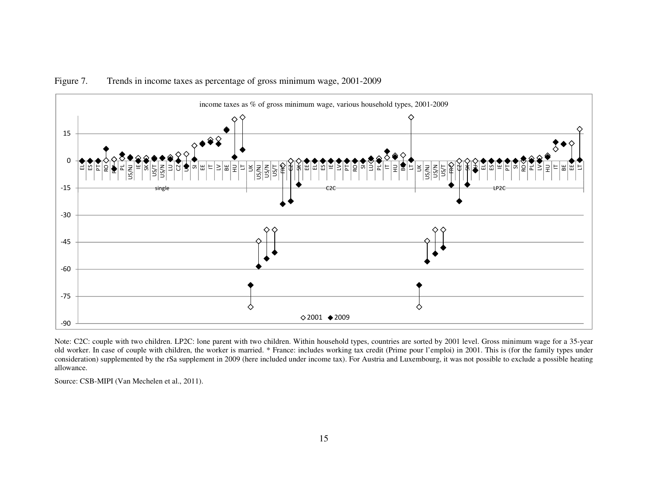

Figure 7. Trends in income taxes as percentage of gross minimum wage, 2001-2009

Note: C2C: couple with two children. LP2C: lone parent with two children. Within household types, countries are sorted by 2001 level. Gross minimum wage for a 35-year old worker. In case of couple with children, the worker is married. \* France: includes working tax credit (Prime pour l'emploi) in 2001. This is (for the family types under consideration) supplemented by the rSa supplement in 2009 (here included under income tax). For Austria and Luxembourg, it was not possible to exclude a possible heating allowance.

Source: CSB-MIPI (Van Mechelen et al., 2011).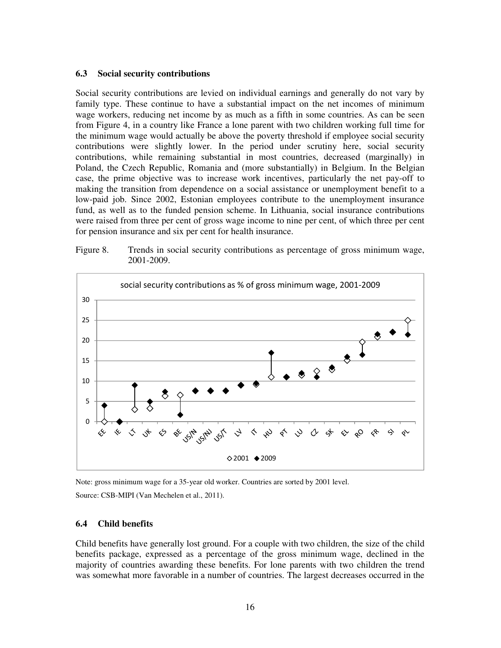#### **6.3 Social security contributions**

Social security contributions are levied on individual earnings and generally do not vary by family type. These continue to have a substantial impact on the net incomes of minimum wage workers, reducing net income by as much as a fifth in some countries. As can be seen from Figure 4, in a country like France a lone parent with two children working full time for the minimum wage would actually be above the poverty threshold if employee social security contributions were slightly lower. In the period under scrutiny here, social security contributions, while remaining substantial in most countries, decreased (marginally) in Poland, the Czech Republic, Romania and (more substantially) in Belgium. In the Belgian case, the prime objective was to increase work incentives, particularly the net pay-off to making the transition from dependence on a social assistance or unemployment benefit to a low-paid job. Since 2002, Estonian employees contribute to the unemployment insurance fund, as well as to the funded pension scheme. In Lithuania, social insurance contributions were raised from three per cent of gross wage income to nine per cent, of which three per cent for pension insurance and six per cent for health insurance.





Note: gross minimum wage for a 35-year old worker. Countries are sorted by 2001 level.

## Source: CSB-MIPI (Van Mechelen et al., 2011).

#### **6.4 Child benefits**

Child benefits have generally lost ground. For a couple with two children, the size of the child benefits package, expressed as a percentage of the gross minimum wage, declined in the majority of countries awarding these benefits. For lone parents with two children the trend was somewhat more favorable in a number of countries. The largest decreases occurred in the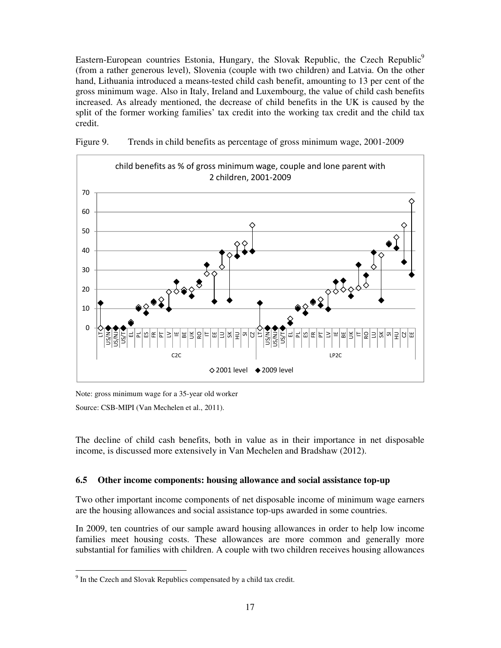Eastern-European countries Estonia, Hungary, the Slovak Republic, the Czech Republic<sup>9</sup> (from a rather generous level), Slovenia (couple with two children) and Latvia. On the other hand, Lithuania introduced a means-tested child cash benefit, amounting to 13 per cent of the gross minimum wage. Also in Italy, Ireland and Luxembourg, the value of child cash benefits increased. As already mentioned, the decrease of child benefits in the UK is caused by the split of the former working families' tax credit into the working tax credit and the child tax credit.



Figure 9. Trends in child benefits as percentage of gross minimum wage, 2001-2009

Note: gross minimum wage for a 35-year old worker

Source: CSB-MIPI (Van Mechelen et al., 2011).

-

The decline of child cash benefits, both in value as in their importance in net disposable income, is discussed more extensively in Van Mechelen and Bradshaw (2012).

#### **6.5 Other income components: housing allowance and social assistance top-up**

Two other important income components of net disposable income of minimum wage earners are the housing allowances and social assistance top-ups awarded in some countries.

In 2009, ten countries of our sample award housing allowances in order to help low income families meet housing costs. These allowances are more common and generally more substantial for families with children. A couple with two children receives housing allowances

<sup>&</sup>lt;sup>9</sup> In the Czech and Slovak Republics compensated by a child tax credit.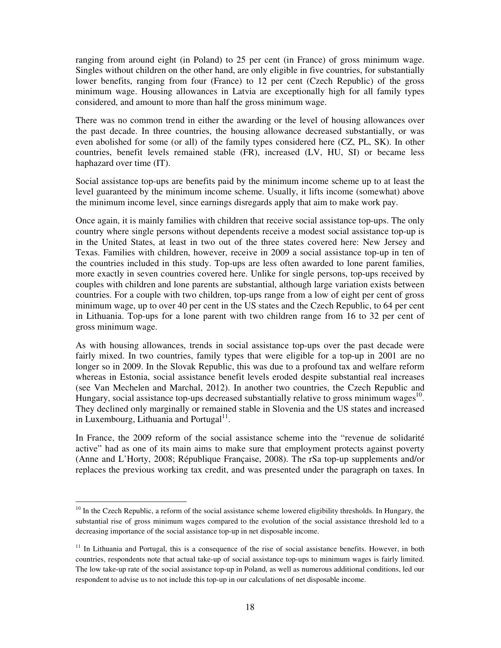ranging from around eight (in Poland) to 25 per cent (in France) of gross minimum wage. Singles without children on the other hand, are only eligible in five countries, for substantially lower benefits, ranging from four (France) to 12 per cent (Czech Republic) of the gross minimum wage. Housing allowances in Latvia are exceptionally high for all family types considered, and amount to more than half the gross minimum wage.

There was no common trend in either the awarding or the level of housing allowances over the past decade. In three countries, the housing allowance decreased substantially, or was even abolished for some (or all) of the family types considered here (CZ, PL, SK). In other countries, benefit levels remained stable (FR), increased (LV, HU, SI) or became less haphazard over time (IT).

Social assistance top-ups are benefits paid by the minimum income scheme up to at least the level guaranteed by the minimum income scheme. Usually, it lifts income (somewhat) above the minimum income level, since earnings disregards apply that aim to make work pay.

Once again, it is mainly families with children that receive social assistance top-ups. The only country where single persons without dependents receive a modest social assistance top-up is in the United States, at least in two out of the three states covered here: New Jersey and Texas. Families with children, however, receive in 2009 a social assistance top-up in ten of the countries included in this study. Top-ups are less often awarded to lone parent families, more exactly in seven countries covered here. Unlike for single persons, top-ups received by couples with children and lone parents are substantial, although large variation exists between countries. For a couple with two children, top-ups range from a low of eight per cent of gross minimum wage, up to over 40 per cent in the US states and the Czech Republic, to 64 per cent in Lithuania. Top-ups for a lone parent with two children range from 16 to 32 per cent of gross minimum wage.

As with housing allowances, trends in social assistance top-ups over the past decade were fairly mixed. In two countries, family types that were eligible for a top-up in 2001 are no longer so in 2009. In the Slovak Republic, this was due to a profound tax and welfare reform whereas in Estonia, social assistance benefit levels eroded despite substantial real increases (see Van Mechelen and Marchal, 2012). In another two countries, the Czech Republic and Hungary, social assistance top-ups decreased substantially relative to gross minimum wages<sup>10</sup>. They declined only marginally or remained stable in Slovenia and the US states and increased in Luxembourg, Lithuania and Portugal $^{11}$ .

In France, the 2009 reform of the social assistance scheme into the "revenue de solidarité active" had as one of its main aims to make sure that employment protects against poverty (Anne and L'Horty, 2008; République Française, 2008). The rSa top-up supplements and/or replaces the previous working tax credit, and was presented under the paragraph on taxes. In

-

 $10$  In the Czech Republic, a reform of the social assistance scheme lowered eligibility thresholds. In Hungary, the substantial rise of gross minimum wages compared to the evolution of the social assistance threshold led to a decreasing importance of the social assistance top-up in net disposable income.

 $11$  In Lithuania and Portugal, this is a consequence of the rise of social assistance benefits. However, in both countries, respondents note that actual take-up of social assistance top-ups to minimum wages is fairly limited. The low take-up rate of the social assistance top-up in Poland, as well as numerous additional conditions, led our respondent to advise us to not include this top-up in our calculations of net disposable income.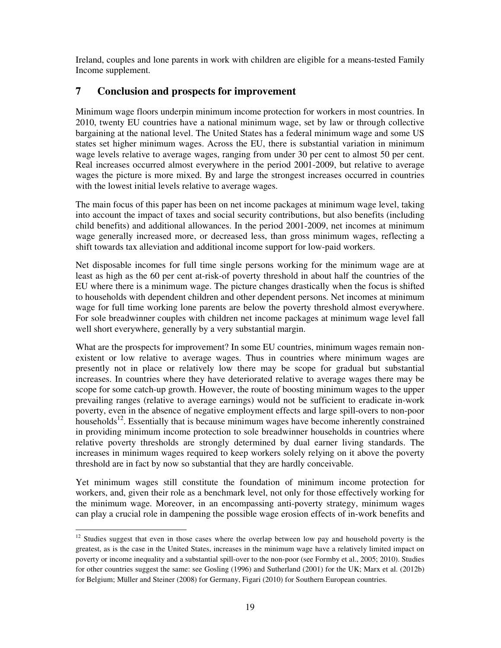Ireland, couples and lone parents in work with children are eligible for a means-tested Family Income supplement.

# **7 Conclusion and prospects for improvement**

Minimum wage floors underpin minimum income protection for workers in most countries. In 2010, twenty EU countries have a national minimum wage, set by law or through collective bargaining at the national level. The United States has a federal minimum wage and some US states set higher minimum wages. Across the EU, there is substantial variation in minimum wage levels relative to average wages, ranging from under 30 per cent to almost 50 per cent. Real increases occurred almost everywhere in the period 2001-2009, but relative to average wages the picture is more mixed. By and large the strongest increases occurred in countries with the lowest initial levels relative to average wages.

The main focus of this paper has been on net income packages at minimum wage level, taking into account the impact of taxes and social security contributions, but also benefits (including child benefits) and additional allowances. In the period 2001-2009, net incomes at minimum wage generally increased more, or decreased less, than gross minimum wages, reflecting a shift towards tax alleviation and additional income support for low-paid workers.

Net disposable incomes for full time single persons working for the minimum wage are at least as high as the 60 per cent at-risk-of poverty threshold in about half the countries of the EU where there is a minimum wage. The picture changes drastically when the focus is shifted to households with dependent children and other dependent persons. Net incomes at minimum wage for full time working lone parents are below the poverty threshold almost everywhere. For sole breadwinner couples with children net income packages at minimum wage level fall well short everywhere, generally by a very substantial margin.

What are the prospects for improvement? In some EU countries, minimum wages remain nonexistent or low relative to average wages. Thus in countries where minimum wages are presently not in place or relatively low there may be scope for gradual but substantial increases. In countries where they have deteriorated relative to average wages there may be scope for some catch-up growth. However, the route of boosting minimum wages to the upper prevailing ranges (relative to average earnings) would not be sufficient to eradicate in-work poverty, even in the absence of negative employment effects and large spill-overs to non-poor households<sup>12</sup>. Essentially that is because minimum wages have become inherently constrained in providing minimum income protection to sole breadwinner households in countries where relative poverty thresholds are strongly determined by dual earner living standards. The increases in minimum wages required to keep workers solely relying on it above the poverty threshold are in fact by now so substantial that they are hardly conceivable.

Yet minimum wages still constitute the foundation of minimum income protection for workers, and, given their role as a benchmark level, not only for those effectively working for the minimum wage. Moreover, in an encompassing anti-poverty strategy, minimum wages can play a crucial role in dampening the possible wage erosion effects of in-work benefits and

<sup>-</sup> $12$  Studies suggest that even in those cases where the overlap between low pay and household poverty is the greatest, as is the case in the United States, increases in the minimum wage have a relatively limited impact on poverty or income inequality and a substantial spill-over to the non-poor (see Formby et al., 2005; 2010). Studies for other countries suggest the same: see Gosling (1996) and Sutherland (2001) for the UK; Marx et al. (2012b) for Belgium; Müller and Steiner (2008) for Germany, Figari (2010) for Southern European countries.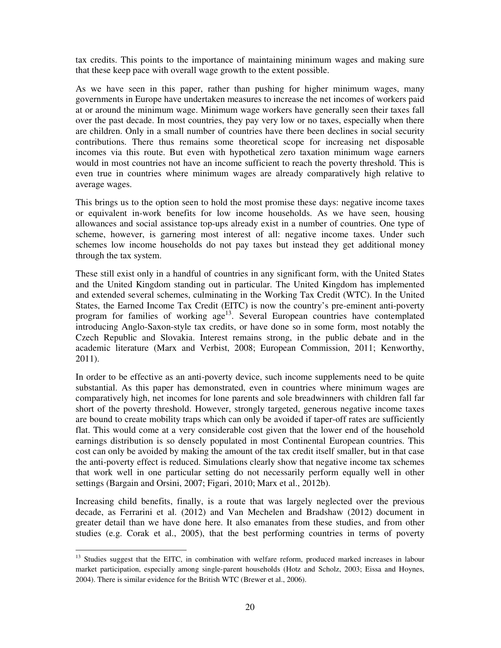tax credits. This points to the importance of maintaining minimum wages and making sure that these keep pace with overall wage growth to the extent possible.

As we have seen in this paper, rather than pushing for higher minimum wages, many governments in Europe have undertaken measures to increase the net incomes of workers paid at or around the minimum wage. Minimum wage workers have generally seen their taxes fall over the past decade. In most countries, they pay very low or no taxes, especially when there are children. Only in a small number of countries have there been declines in social security contributions. There thus remains some theoretical scope for increasing net disposable incomes via this route. But even with hypothetical zero taxation minimum wage earners would in most countries not have an income sufficient to reach the poverty threshold. This is even true in countries where minimum wages are already comparatively high relative to average wages.

This brings us to the option seen to hold the most promise these days: negative income taxes or equivalent in-work benefits for low income households. As we have seen, housing allowances and social assistance top-ups already exist in a number of countries. One type of scheme, however, is garnering most interest of all: negative income taxes. Under such schemes low income households do not pay taxes but instead they get additional money through the tax system.

These still exist only in a handful of countries in any significant form, with the United States and the United Kingdom standing out in particular. The United Kingdom has implemented and extended several schemes, culminating in the Working Tax Credit (WTC). In the United States, the Earned Income Tax Credit (EITC) is now the country's pre-eminent anti-poverty program for families of working age<sup>13</sup>. Several European countries have contemplated introducing Anglo-Saxon-style tax credits, or have done so in some form, most notably the Czech Republic and Slovakia. Interest remains strong, in the public debate and in the academic literature (Marx and Verbist, 2008; European Commission, 2011; Kenworthy, 2011).

In order to be effective as an anti-poverty device, such income supplements need to be quite substantial. As this paper has demonstrated, even in countries where minimum wages are comparatively high, net incomes for lone parents and sole breadwinners with children fall far short of the poverty threshold. However, strongly targeted, generous negative income taxes are bound to create mobility traps which can only be avoided if taper-off rates are sufficiently flat. This would come at a very considerable cost given that the lower end of the household earnings distribution is so densely populated in most Continental European countries. This cost can only be avoided by making the amount of the tax credit itself smaller, but in that case the anti-poverty effect is reduced. Simulations clearly show that negative income tax schemes that work well in one particular setting do not necessarily perform equally well in other settings (Bargain and Orsini, 2007; Figari, 2010; Marx et al., 2012b).

Increasing child benefits, finally, is a route that was largely neglected over the previous decade, as Ferrarini et al. (2012) and Van Mechelen and Bradshaw (2012) document in greater detail than we have done here. It also emanates from these studies, and from other studies (e.g. Corak et al., 2005), that the best performing countries in terms of poverty

-

<sup>&</sup>lt;sup>13</sup> Studies suggest that the EITC, in combination with welfare reform, produced marked increases in labour market participation, especially among single-parent households (Hotz and Scholz, 2003; Eissa and Hoynes, 2004). There is similar evidence for the British WTC (Brewer et al., 2006).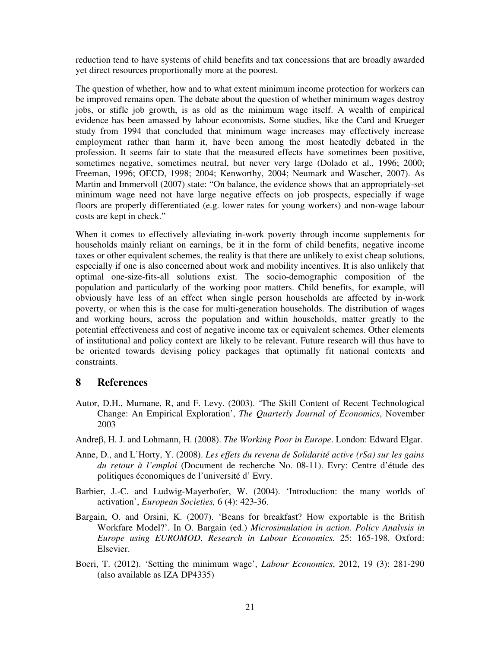reduction tend to have systems of child benefits and tax concessions that are broadly awarded yet direct resources proportionally more at the poorest.

The question of whether, how and to what extent minimum income protection for workers can be improved remains open. The debate about the question of whether minimum wages destroy jobs, or stifle job growth, is as old as the minimum wage itself. A wealth of empirical evidence has been amassed by labour economists. Some studies, like the Card and Krueger study from 1994 that concluded that minimum wage increases may effectively increase employment rather than harm it, have been among the most heatedly debated in the profession. It seems fair to state that the measured effects have sometimes been positive, sometimes negative, sometimes neutral, but never very large (Dolado et al., 1996; 2000; Freeman, 1996; OECD, 1998; 2004; Kenworthy, 2004; Neumark and Wascher, 2007). As Martin and Immervoll (2007) state: "On balance, the evidence shows that an appropriately-set minimum wage need not have large negative effects on job prospects, especially if wage floors are properly differentiated (e.g. lower rates for young workers) and non-wage labour costs are kept in check."

When it comes to effectively alleviating in-work poverty through income supplements for households mainly reliant on earnings, be it in the form of child benefits, negative income taxes or other equivalent schemes, the reality is that there are unlikely to exist cheap solutions, especially if one is also concerned about work and mobility incentives. It is also unlikely that optimal one-size-fits-all solutions exist. The socio-demographic composition of the population and particularly of the working poor matters. Child benefits, for example, will obviously have less of an effect when single person households are affected by in-work poverty, or when this is the case for multi-generation households. The distribution of wages and working hours, across the population and within households, matter greatly to the potential effectiveness and cost of negative income tax or equivalent schemes. Other elements of institutional and policy context are likely to be relevant. Future research will thus have to be oriented towards devising policy packages that optimally fit national contexts and constraints.

#### **8 References**

- Autor, D.H., Murnane, R, and F. Levy. (2003). 'The Skill Content of Recent Technological Change: An Empirical Exploration', *The Quarterly Journal of Economics*, November 2003
- Andreβ, H. J. and Lohmann, H. (2008). *The Working Poor in Europe*. London: Edward Elgar.
- Anne, D., and L'Horty, Y. (2008). *Les effets du revenu de Solidarité active (rSa) sur les gains du retour à l'emploi* (Document de recherche No. 08-11). Evry: Centre d'étude des politiques économiques de l'université d' Evry.
- Barbier, J.-C. and Ludwig-Mayerhofer, W. (2004). 'Introduction: the many worlds of activation', *European Societies,* 6 (4): 423-36.
- Bargain, O. and Orsini, K. (2007). 'Beans for breakfast? How exportable is the British Workfare Model?'. In O. Bargain (ed.) *Microsimulation in action. Policy Analysis in Europe using EUROMOD*. *Research in Labour Economics.* 25: 165-198. Oxford: Elsevier.
- Boeri, T. (2012). 'Setting the minimum wage', *Labour Economics*, 2012, 19 (3): 281-290 (also available as IZA DP4335)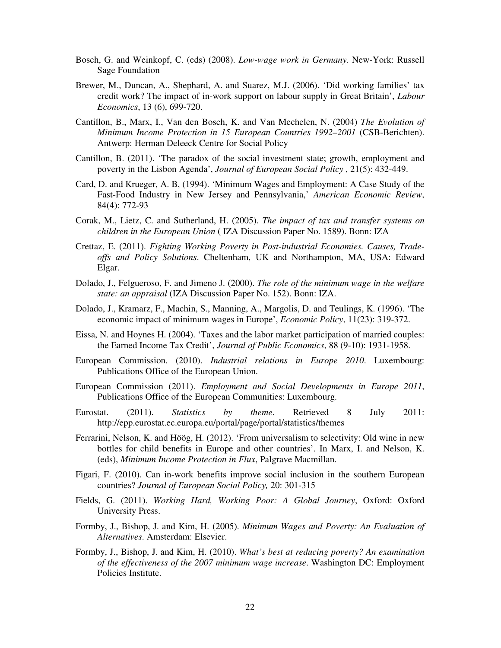- Bosch, G. and Weinkopf, C. (eds) (2008). *Low-wage work in Germany.* New-York: Russell Sage Foundation
- Brewer, M., Duncan, A., Shephard, A. and Suarez, M.J. (2006). 'Did working families' tax credit work? The impact of in-work support on labour supply in Great Britain', *Labour Economics*, 13 (6), 699-720.
- Cantillon, B., Marx, I., Van den Bosch, K. and Van Mechelen, N. (2004) *The Evolution of Minimum Income Protection in 15 European Countries 1992–2001* (CSB-Berichten). Antwerp: Herman Deleeck Centre for Social Policy
- Cantillon, B. (2011). 'The paradox of the social investment state; growth, employment and poverty in the Lisbon Agenda', *Journal of European Social Policy* , 21(5): 432-449.
- Card, D. and Krueger, A. B, (1994). 'Minimum Wages and Employment: A Case Study of the Fast-Food Industry in New Jersey and Pennsylvania,' *American Economic Review*, 84(4): 772-93
- Corak, M., Lietz, C. and Sutherland, H. (2005). *The impact of tax and transfer systems on children in the European Union* ( IZA Discussion Paper No. 1589). Bonn: IZA
- Crettaz, E. (2011). *Fighting Working Poverty in Post-industrial Economies. Causes, Tradeoffs and Policy Solutions*. Cheltenham, UK and Northampton, MA, USA: Edward Elgar.
- Dolado, J., Felgueroso, F. and Jimeno J. (2000). *The role of the minimum wage in the welfare state: an appraisal* (IZA Discussion Paper No. 152). Bonn: IZA.
- Dolado, J., Kramarz, F., Machin, S., Manning, A., Margolis, D. and Teulings, K. (1996). 'The economic impact of minimum wages in Europe', *Economic Policy*, 11(23): 319-372.
- Eissa, N. and Hoynes H. (2004). 'Taxes and the labor market participation of married couples: the Earned Income Tax Credit', *Journal of Public Economics*, 88 (9-10): 1931-1958.
- European Commission. (2010). *Industrial relations in Europe 2010*. Luxembourg: Publications Office of the European Union.
- European Commission (2011). *Employment and Social Developments in Europe 2011*, Publications Office of the European Communities: Luxembourg.
- Eurostat. (2011). *Statistics by theme*. Retrieved 8 July 2011: http://epp.eurostat.ec.europa.eu/portal/page/portal/statistics/themes
- Ferrarini, Nelson, K. and Höög, H. (2012). 'From universalism to selectivity: Old wine in new bottles for child benefits in Europe and other countries'. In Marx, I. and Nelson, K. (eds), *Minimum Income Protection in Flux*, Palgrave Macmillan.
- Figari, F. (2010). Can in-work benefits improve social inclusion in the southern European countries? *Journal of European Social Policy,* 20: 301-315
- Fields, G. (2011). *Working Hard, Working Poor: A Global Journey*, Oxford: Oxford University Press.
- Formby, J., Bishop, J. and Kim, H. (2005). *Minimum Wages and Poverty: An Evaluation of Alternatives*. Amsterdam: Elsevier.
- Formby, J., Bishop, J. and Kim, H. (2010). *What's best at reducing poverty? An examination of the effectiveness of the 2007 minimum wage increase*. Washington DC: Employment Policies Institute.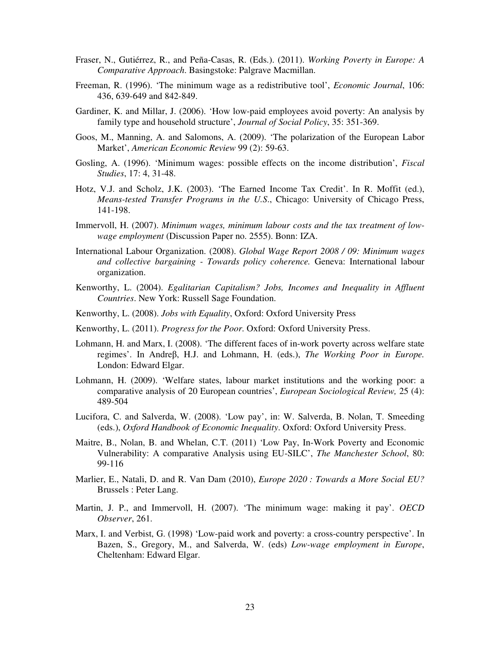- Fraser, N., Gutiérrez, R., and Peña-Casas, R. (Eds.). (2011). *Working Poverty in Europe: A Comparative Approach*. Basingstoke: Palgrave Macmillan.
- Freeman, R. (1996). 'The minimum wage as a redistributive tool', *Economic Journal*, 106: 436, 639-649 and 842-849.
- Gardiner, K. and Millar, J. (2006). 'How low-paid employees avoid poverty: An analysis by family type and household structure', *Journal of Social Policy*, 35: 351-369.
- Goos, M., Manning, A. and Salomons, A. (2009). 'The polarization of the European Labor Market', *American Economic Review* 99 (2): 59-63.
- Gosling, A. (1996). 'Minimum wages: possible effects on the income distribution', *Fiscal Studies*, 17: 4, 31-48.
- Hotz, V.J. and Scholz, J.K. (2003). 'The Earned Income Tax Credit'. In R. Moffit (ed.), *Means-tested Transfer Programs in the U.S*., Chicago: University of Chicago Press, 141-198.
- Immervoll, H. (2007). *Minimum wages, minimum labour costs and the tax treatment of lowwage employment* (Discussion Paper no. 2555). Bonn: IZA.
- International Labour Organization. (2008). *Global Wage Report 2008 / 09: Minimum wages and collective bargaining - Towards policy coherence.* Geneva: International labour organization.
- Kenworthy, L. (2004). *Egalitarian Capitalism? Jobs, Incomes and Inequality in Affluent Countries*. New York: Russell Sage Foundation.
- Kenworthy, L. (2008). *Jobs with Equality*, Oxford: Oxford University Press
- Kenworthy, L. (2011). *Progress for the Poor*. Oxford: Oxford University Press.
- Lohmann, H. and Marx, I. (2008). 'The different faces of in-work poverty across welfare state regimes'. In Andreβ, H.J. and Lohmann, H. (eds.), *The Working Poor in Europe.* London: Edward Elgar.
- Lohmann, H. (2009). 'Welfare states, labour market institutions and the working poor: a comparative analysis of 20 European countries', *European Sociological Review,* 25 (4): 489-504
- Lucifora, C. and Salverda, W. (2008). 'Low pay', in: W. Salverda, B. Nolan, T. Smeeding (eds.), *Oxford Handbook of Economic Inequality*. Oxford: Oxford University Press.
- Maitre, B., Nolan, B. and Whelan, C.T. (2011) 'Low Pay, In-Work Poverty and Economic Vulnerability: A comparative Analysis using EU-SILC', *The Manchester School*, 80: 99-116
- Marlier, E., Natali, D. and R. Van Dam (2010), *Europe 2020 : Towards a More Social EU?* Brussels : Peter Lang.
- Martin, J. P., and Immervoll, H. (2007). 'The minimum wage: making it pay'. *OECD Observer*, 261.
- Marx, I. and Verbist, G. (1998) 'Low-paid work and poverty: a cross-country perspective'. In Bazen, S., Gregory, M., and Salverda, W. (eds) *Low-wage employment in Europe*, Cheltenham: Edward Elgar.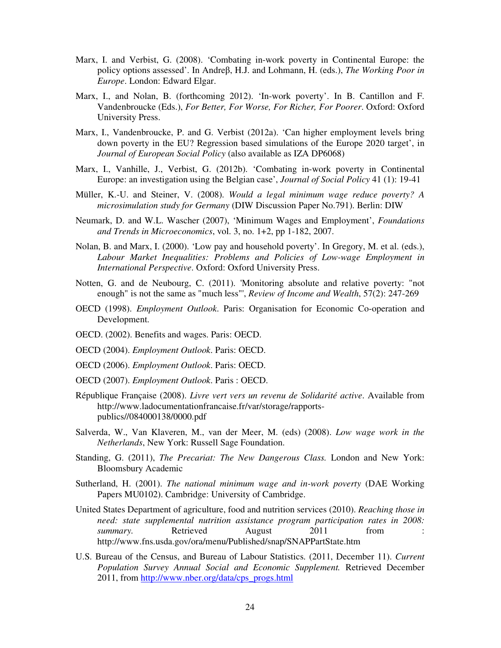- Marx, I. and Verbist, G. (2008). 'Combating in-work poverty in Continental Europe: the policy options assessed'. In Andreβ, H.J. and Lohmann, H. (eds.), *The Working Poor in Europe*. London: Edward Elgar.
- Marx, I., and Nolan, B. (forthcoming 2012). 'In-work poverty'. In B. Cantillon and F. Vandenbroucke (Eds.), *For Better, For Worse, For Richer, For Poorer*. Oxford: Oxford University Press.
- Marx, I., Vandenbroucke, P. and G. Verbist (2012a). 'Can higher employment levels bring down poverty in the EU? Regression based simulations of the Europe 2020 target', in *Journal of European Social Policy* (also available as IZA DP6068)
- Marx, I., Vanhille, J., Verbist, G. (2012b). 'Combating in-work poverty in Continental Europe: an investigation using the Belgian case', *Journal of Social Policy* 41 (1): 19-41
- Müller, K.-U. and Steiner, V. (2008). *Would a legal minimum wage reduce poverty? A microsimulation study for Germany* (DIW Discussion Paper No.791). Berlin: DIW
- Neumark, D. and W.L. Wascher (2007), 'Minimum Wages and Employment', *Foundations and Trends in Microeconomics*, vol. 3, no. 1+2, pp 1-182, 2007.
- Nolan, B. and Marx, I. (2000). 'Low pay and household poverty'. In Gregory, M. et al. (eds.), *Labour Market Inequalities: Problems and Policies of Low-wage Employment in International Perspective*. Oxford: Oxford University Press.
- Notten, G. and de Neubourg, C. (2011). 'Monitoring absolute and relative poverty: "not enough" is not the same as "much less"', *Review of Income and Wealth*, 57(2): 247-269
- OECD (1998). *Employment Outlook*. Paris: Organisation for Economic Co-operation and Development.
- OECD. (2002). Benefits and wages. Paris: OECD.
- OECD (2004). *Employment Outlook*. Paris: OECD.
- OECD (2006). *Employment Outlook*. Paris: OECD.
- OECD (2007). *Employment Outlook*. Paris : OECD.
- République Française (2008). *Livre vert vers un revenu de Solidarité active*. Available from http://www.ladocumentationfrancaise.fr/var/storage/rapportspublics//084000138/0000.pdf
- Salverda, W., Van Klaveren, M., van der Meer, M. (eds) (2008). *Low wage work in the Netherlands*, New York: Russell Sage Foundation.
- Standing, G. (2011), *The Precariat: The New Dangerous Class.* London and New York: Bloomsbury Academic
- Sutherland, H. (2001). *The national minimum wage and in-work poverty* (DAE Working Papers MU0102). Cambridge: University of Cambridge.
- United States Department of agriculture, food and nutrition services (2010). *Reaching those in need: state supplemental nutrition assistance program participation rates in 2008: summary.* Retrieved August 2011 from : http://www.fns.usda.gov/ora/menu/Published/snap/SNAPPartState.htm
- U.S. Bureau of the Census, and Bureau of Labour Statistics. (2011, December 11). *Current Population Survey Annual Social and Economic Supplement.* Retrieved December 2011, from http://www.nber.org/data/cps\_progs.html